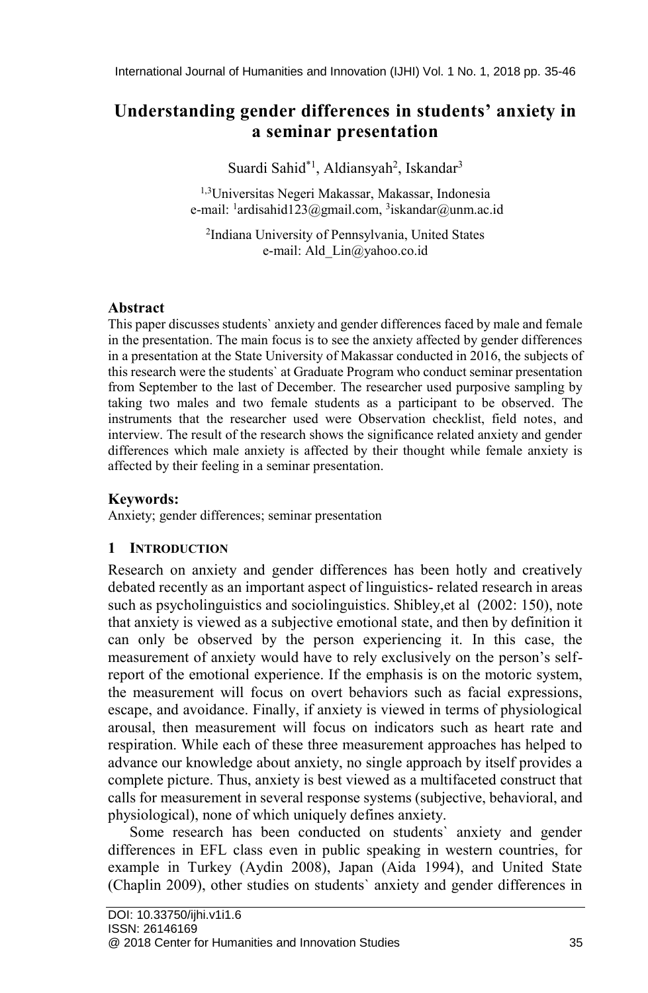# **Understanding gender differences in students' anxiety in a seminar presentation**

Suardi Sahid\*<sup>1</sup>, Aldiansyah<sup>2</sup>, Iskandar<sup>3</sup>

1,3Universitas Negeri Makassar, Makassar, Indonesia e-mail: <sup>1</sup>ardisahid123@gmail.com, <sup>3</sup>iskandar@unm.ac.id

2 Indiana University of Pennsylvania, United States e-mail: Ald\_Lin@yahoo.co.id

## **Abstract**

This paper discusses students` anxiety and gender differences faced by male and female in the presentation. The main focus is to see the anxiety affected by gender differences in a presentation at the State University of Makassar conducted in 2016, the subjects of this research were the students` at Graduate Program who conduct seminar presentation from September to the last of December. The researcher used purposive sampling by taking two males and two female students as a participant to be observed. The instruments that the researcher used were Observation checklist, field notes, and interview. The result of the research shows the significance related anxiety and gender differences which male anxiety is affected by their thought while female anxiety is affected by their feeling in a seminar presentation.

## **Keywords:**

Anxiety; gender differences; seminar presentation

## **1 INTRODUCTION**

Research on anxiety and gender differences has been hotly and creatively debated recently as an important aspect of linguistics- related research in areas such as psycholinguistics and sociolinguistics. Shibley,et al (2002: 150), note that anxiety is viewed as a subjective emotional state, and then by definition it can only be observed by the person experiencing it. In this case, the measurement of anxiety would have to rely exclusively on the person's selfreport of the emotional experience. If the emphasis is on the motoric system, the measurement will focus on overt behaviors such as facial expressions, escape, and avoidance. Finally, if anxiety is viewed in terms of physiological arousal, then measurement will focus on indicators such as heart rate and respiration. While each of these three measurement approaches has helped to advance our knowledge about anxiety, no single approach by itself provides a complete picture. Thus, anxiety is best viewed as a multifaceted construct that calls for measurement in several response systems (subjective, behavioral, and physiological), none of which uniquely defines anxiety.

Some research has been conducted on students` anxiety and gender differences in EFL class even in public speaking in western countries, for example in Turkey (Aydin 2008), Japan (Aida 1994), and United State (Chaplin 2009), other studies on students` anxiety and gender differences in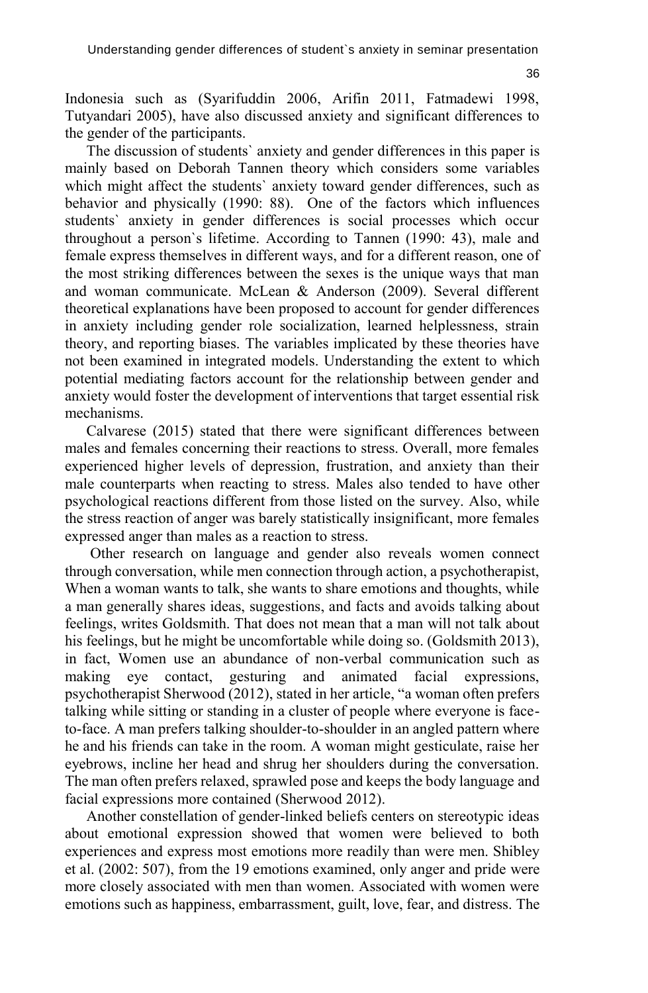Indonesia such as (Syarifuddin 2006, Arifin 2011, Fatmadewi 1998, Tutyandari 2005), have also discussed anxiety and significant differences to the gender of the participants.

The discussion of students` anxiety and gender differences in this paper is mainly based on Deborah Tannen theory which considers some variables which might affect the students` anxiety toward gender differences, such as behavior and physically (1990: 88). One of the factors which influences students` anxiety in gender differences is social processes which occur throughout a person`s lifetime. According to Tannen (1990: 43), male and female express themselves in different ways, and for a different reason, one of the most striking differences between the sexes is the unique ways that man and woman communicate. McLean & Anderson (2009). Several different theoretical explanations have been proposed to account for gender differences in anxiety including gender role socialization, learned helplessness, strain theory, and reporting biases. The variables implicated by these theories have not been examined in integrated models. Understanding the extent to which potential mediating factors account for the relationship between gender and anxiety would foster the development of interventions that target essential risk mechanisms.

Calvarese (2015) stated that there were significant differences between males and females concerning their reactions to stress. Overall, more females experienced higher levels of depression, frustration, and anxiety than their male counterparts when reacting to stress. Males also tended to have other psychological reactions different from those listed on the survey. Also, while the stress reaction of anger was barely statistically insignificant, more females expressed anger than males as a reaction to stress.

Other research on language and gender also reveals women connect through conversation, while men connection through action, a psychotherapist, When a woman wants to talk, she wants to share emotions and thoughts, while a man generally shares ideas, suggestions, and facts and avoids talking about feelings, writes Goldsmith. That does not mean that a man will not talk about his feelings, but he might be uncomfortable while doing so. (Goldsmith 2013), in fact, Women use an abundance of non-verbal communication such as making eye contact, gesturing and animated facial expressions, psychotherapist Sherwood (2012), stated in her article, "a woman often prefers talking while sitting or standing in a cluster of people where everyone is faceto-face. A man prefers talking shoulder-to-shoulder in an angled pattern where he and his friends can take in the room. A woman might gesticulate, raise her eyebrows, incline her head and shrug her shoulders during the conversation. The man often prefers relaxed, sprawled pose and keeps the body language and facial expressions more contained (Sherwood 2012).

Another constellation of gender-linked beliefs centers on stereotypic ideas about emotional expression showed that women were believed to both experiences and express most emotions more readily than were men. Shibley et al. (2002: 507), from the 19 emotions examined, only anger and pride were more closely associated with men than women. Associated with women were emotions such as happiness, embarrassment, guilt, love, fear, and distress. The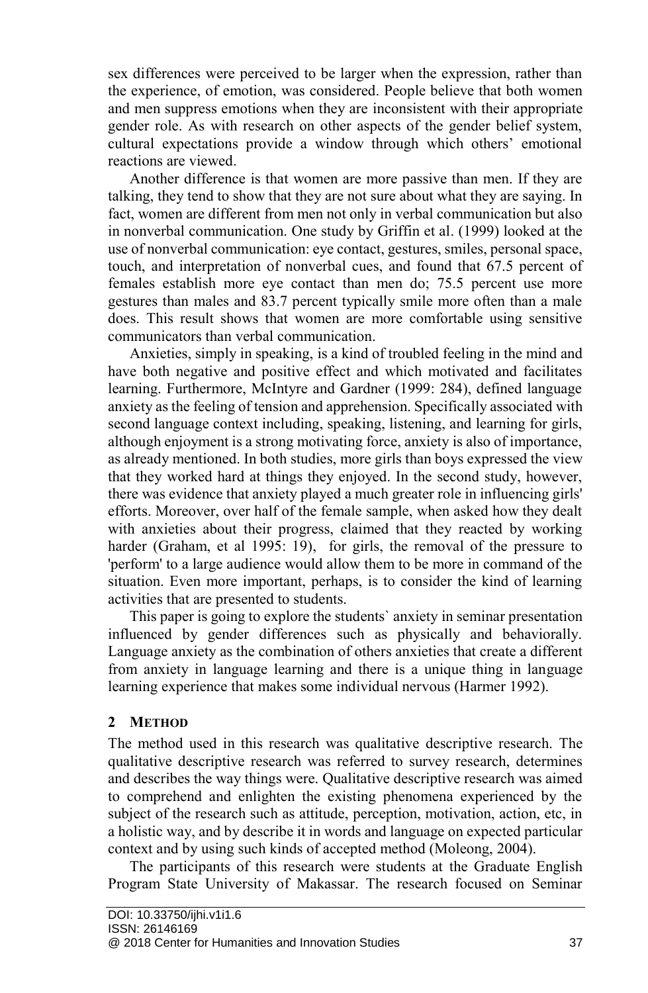sex differences were perceived to be larger when the expression, rather than the experience, of emotion, was considered. People believe that both women and men suppress emotions when they are inconsistent with their appropriate gender role. As with research on other aspects of the gender belief system, cultural expectations provide a window through which others' emotional reactions are viewed.

Another difference is that women are more passive than men. If they are talking, they tend to show that they are not sure about what they are saying. In fact, women are different from men not only in verbal communication but also in nonverbal communication. One study by Griffin et al. (1999) looked at the use of nonverbal communication: eye contact, gestures, smiles, personal space, touch, and interpretation of nonverbal cues, and found that 67.5 percent of females establish more eye contact than men do; 75.5 percent use more gestures than males and 83.7 percent typically smile more often than a male does. This result shows that women are more comfortable using sensitive communicators than verbal communication.

Anxieties, simply in speaking, is a kind of troubled feeling in the mind and have both negative and positive effect and which motivated and facilitates learning. Furthermore, McIntyre and Gardner (1999: 284), defined language anxiety as the feeling of tension and apprehension. Specifically associated with second language context including, speaking, listening, and learning for girls, although enjoyment is a strong motivating force, anxiety is also of importance, as already mentioned. In both studies, more girls than boys expressed the view that they worked hard at things they enjoyed. In the second study, however, there was evidence that anxiety played a much greater role in influencing girls' efforts. Moreover, over half of the female sample, when asked how they dealt with anxieties about their progress, claimed that they reacted by working harder (Graham, et al 1995: 19), for girls, the removal of the pressure to 'perform' to a large audience would allow them to be more in command of the situation. Even more important, perhaps, is to consider the kind of learning activities that are presented to students.

This paper is going to explore the students` anxiety in seminar presentation influenced by gender differences such as physically and behaviorally. Language anxiety as the combination of others anxieties that create a different from anxiety in language learning and there is a unique thing in language learning experience that makes some individual nervous (Harmer 1992).

## **2 METHOD**

The method used in this research was qualitative descriptive research. The qualitative descriptive research was referred to survey research, determines and describes the way things were. Qualitative descriptive research was aimed to comprehend and enlighten the existing phenomena experienced by the subject of the research such as attitude, perception, motivation, action, etc, in a holistic way, and by describe it in words and language on expected particular context and by using such kinds of accepted method (Moleong, 2004).

The participants of this research were students at the Graduate English Program State University of Makassar. The research focused on Seminar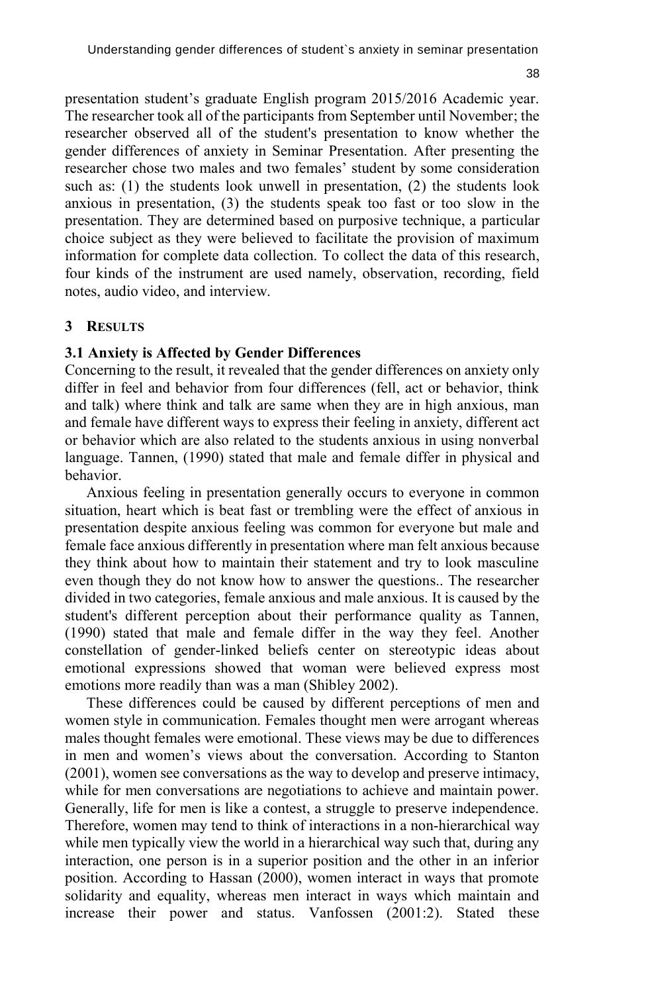presentation student's graduate English program 2015/2016 Academic year. The researcher took all of the participants from September until November; the researcher observed all of the student's presentation to know whether the gender differences of anxiety in Seminar Presentation. After presenting the researcher chose two males and two females' student by some consideration such as: (1) the students look unwell in presentation, (2) the students look anxious in presentation, (3) the students speak too fast or too slow in the presentation. They are determined based on purposive technique, a particular choice subject as they were believed to facilitate the provision of maximum information for complete data collection. To collect the data of this research, four kinds of the instrument are used namely, observation, recording, field notes, audio video, and interview.

#### **3 RESULTS**

#### **3.1 Anxiety is Affected by Gender Differences**

Concerning to the result, it revealed that the gender differences on anxiety only differ in feel and behavior from four differences (fell, act or behavior, think and talk) where think and talk are same when they are in high anxious, man and female have different ways to express their feeling in anxiety, different act or behavior which are also related to the students anxious in using nonverbal language. Tannen, (1990) stated that male and female differ in physical and behavior.

Anxious feeling in presentation generally occurs to everyone in common situation, heart which is beat fast or trembling were the effect of anxious in presentation despite anxious feeling was common for everyone but male and female face anxious differently in presentation where man felt anxious because they think about how to maintain their statement and try to look masculine even though they do not know how to answer the questions.. The researcher divided in two categories, female anxious and male anxious. It is caused by the student's different perception about their performance quality as Tannen, (1990) stated that male and female differ in the way they feel. Another constellation of gender-linked beliefs center on stereotypic ideas about emotional expressions showed that woman were believed express most emotions more readily than was a man (Shibley 2002).

These differences could be caused by different perceptions of men and women style in communication. Females thought men were arrogant whereas males thought females were emotional. These views may be due to differences in men and women's views about the conversation. According to Stanton (2001), women see conversations as the way to develop and preserve intimacy, while for men conversations are negotiations to achieve and maintain power. Generally, life for men is like a contest, a struggle to preserve independence. Therefore, women may tend to think of interactions in a non-hierarchical way while men typically view the world in a hierarchical way such that, during any interaction, one person is in a superior position and the other in an inferior position. According to Hassan (2000), women interact in ways that promote solidarity and equality, whereas men interact in ways which maintain and increase their power and status. Vanfossen (2001:2). Stated these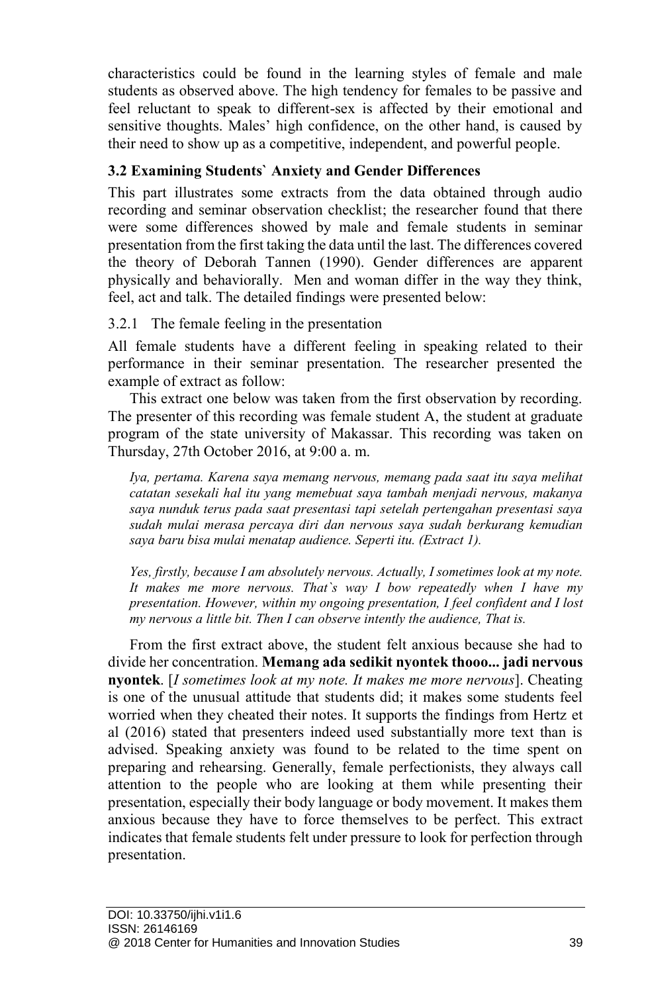characteristics could be found in the learning styles of female and male students as observed above. The high tendency for females to be passive and feel reluctant to speak to different-sex is affected by their emotional and sensitive thoughts. Males' high confidence, on the other hand, is caused by their need to show up as a competitive, independent, and powerful people.

## **3.2 Examining Students` Anxiety and Gender Differences**

This part illustrates some extracts from the data obtained through audio recording and seminar observation checklist; the researcher found that there were some differences showed by male and female students in seminar presentation from the first taking the data until the last. The differences covered the theory of Deborah Tannen (1990). Gender differences are apparent physically and behaviorally. Men and woman differ in the way they think, feel, act and talk. The detailed findings were presented below:

## 3.2.1 The female feeling in the presentation

All female students have a different feeling in speaking related to their performance in their seminar presentation. The researcher presented the example of extract as follow:

This extract one below was taken from the first observation by recording. The presenter of this recording was female student A, the student at graduate program of the state university of Makassar. This recording was taken on Thursday, 27th October 2016, at 9:00 a. m.

*Iya, pertama. Karena saya memang nervous, memang pada saat itu saya melihat catatan sesekali hal itu yang memebuat saya tambah menjadi nervous, makanya saya nunduk terus pada saat presentasi tapi setelah pertengahan presentasi saya sudah mulai merasa percaya diri dan nervous saya sudah berkurang kemudian saya baru bisa mulai menatap audience. Seperti itu. (Extract 1).*

*Yes, firstly, because I am absolutely nervous. Actually, I sometimes look at my note. It makes me more nervous. That`s way I bow repeatedly when I have my presentation. However, within my ongoing presentation, I feel confident and I lost my nervous a little bit. Then I can observe intently the audience, That is.*

From the first extract above, the student felt anxious because she had to divide her concentration. **Memang ada sedikit nyontek thooo... jadi nervous nyontek**. [*I sometimes look at my note. It makes me more nervous*]. Cheating is one of the unusual attitude that students did; it makes some students feel worried when they cheated their notes. It supports the findings from Hertz et al (2016) stated that presenters indeed used substantially more text than is advised. Speaking anxiety was found to be related to the time spent on preparing and rehearsing. Generally, female perfectionists, they always call attention to the people who are looking at them while presenting their presentation, especially their body language or body movement. It makes them anxious because they have to force themselves to be perfect. This extract indicates that female students felt under pressure to look for perfection through presentation.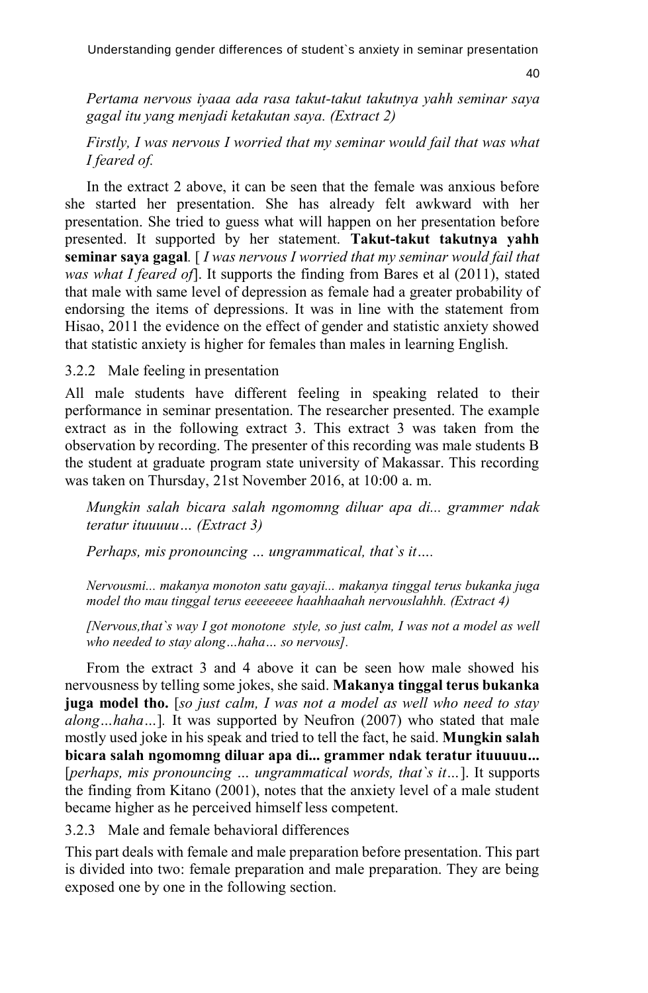40

*Pertama nervous iyaaa ada rasa takut-takut takutnya yahh seminar saya gagal itu yang menjadi ketakutan saya. (Extract 2)*

*Firstly, I was nervous I worried that my seminar would fail that was what I feared of.*

In the extract 2 above, it can be seen that the female was anxious before she started her presentation. She has already felt awkward with her presentation. She tried to guess what will happen on her presentation before presented. It supported by her statement. **Takut-takut takutnya yahh seminar saya gagal***.* [ *I was nervous I worried that my seminar would fail that was what I feared of*]. It supports the finding from Bares et al (2011), stated that male with same level of depression as female had a greater probability of endorsing the items of depressions. It was in line with the statement from Hisao, 2011 the evidence on the effect of gender and statistic anxiety showed that statistic anxiety is higher for females than males in learning English.

3.2.2 Male feeling in presentation

All male students have different feeling in speaking related to their performance in seminar presentation. The researcher presented. The example extract as in the following extract 3. This extract 3 was taken from the observation by recording. The presenter of this recording was male students B the student at graduate program state university of Makassar. This recording was taken on Thursday, 21st November 2016, at 10:00 a. m.

*Mungkin salah bicara salah ngomomng diluar apa di... grammer ndak teratur ituuuuu… (Extract 3)*

*Perhaps, mis pronouncing … ungrammatical, that`s it….*

*Nervousmi... makanya monoton satu gayaji... makanya tinggal terus bukanka juga model tho mau tinggal terus eeeeeeee haahhaahah nervouslahhh. (Extract 4)*

*[Nervous,that`s way I got monotone style, so just calm, I was not a model as well who needed to stay along…haha… so nervous].*

From the extract 3 and 4 above it can be seen how male showed his nervousness by telling some jokes, she said. **Makanya tinggal terus bukanka juga model tho.** [*so just calm, I was not a model as well who need to stay along…haha…*]*.* It was supported by Neufron (2007) who stated that male mostly used joke in his speak and tried to tell the fact, he said. **Mungkin salah bicara salah ngomomng diluar apa di... grammer ndak teratur ituuuuu...** [*perhaps, mis pronouncing … ungrammatical words, that`s it…*]. It supports the finding from Kitano (2001), notes that the anxiety level of a male student became higher as he perceived himself less competent.

3.2.3 Male and female behavioral differences

This part deals with female and male preparation before presentation. This part is divided into two: female preparation and male preparation. They are being exposed one by one in the following section.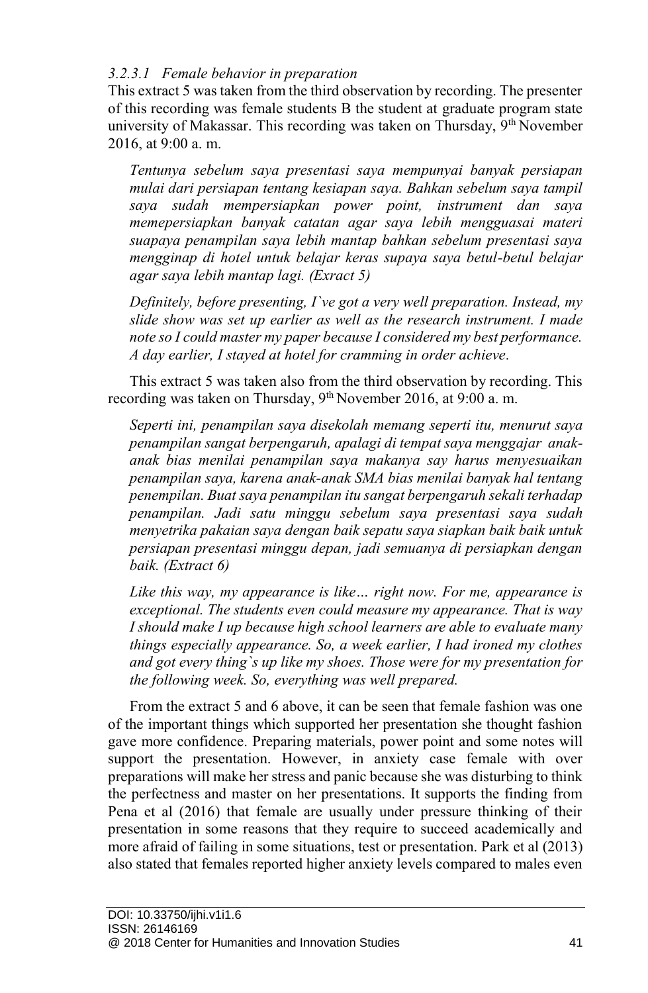## *3.2.3.1 Female behavior in preparation*

This extract 5 was taken from the third observation by recording. The presenter of this recording was female students B the student at graduate program state university of Makassar. This recording was taken on Thursday, 9<sup>th</sup> November 2016, at 9:00 a. m.

*Tentunya sebelum saya presentasi saya mempunyai banyak persiapan mulai dari persiapan tentang kesiapan saya. Bahkan sebelum saya tampil saya sudah mempersiapkan power point, instrument dan saya memepersiapkan banyak catatan agar saya lebih mengguasai materi suapaya penampilan saya lebih mantap bahkan sebelum presentasi saya mengginap di hotel untuk belajar keras supaya saya betul-betul belajar agar saya lebih mantap lagi. (Exract 5)*

*Definitely, before presenting, I`ve got a very well preparation. Instead, my slide show was set up earlier as well as the research instrument. I made note so I could master my paper because I considered my best performance. A day earlier, I stayed at hotel for cramming in order achieve.*

This extract 5 was taken also from the third observation by recording. This recording was taken on Thursday, 9<sup>th</sup> November 2016, at 9:00 a.m.

*Seperti ini, penampilan saya disekolah memang seperti itu, menurut saya penampilan sangat berpengaruh, apalagi di tempat saya menggajar anakanak bias menilai penampilan saya makanya say harus menyesuaikan penampilan saya, karena anak-anak SMA bias menilai banyak hal tentang penempilan. Buat saya penampilan itu sangat berpengaruh sekali terhadap penampilan. Jadi satu minggu sebelum saya presentasi saya sudah menyetrika pakaian saya dengan baik sepatu saya siapkan baik baik untuk persiapan presentasi minggu depan, jadi semuanya di persiapkan dengan baik. (Extract 6)*

*Like this way, my appearance is like… right now. For me, appearance is exceptional. The students even could measure my appearance. That is way I should make I up because high school learners are able to evaluate many things especially appearance. So, a week earlier, I had ironed my clothes and got every thing`s up like my shoes. Those were for my presentation for the following week. So, everything was well prepared.* 

From the extract 5 and 6 above, it can be seen that female fashion was one of the important things which supported her presentation she thought fashion gave more confidence. Preparing materials, power point and some notes will support the presentation. However, in anxiety case female with over preparations will make her stress and panic because she was disturbing to think the perfectness and master on her presentations. It supports the finding from Pena et al (2016) that female are usually under pressure thinking of their presentation in some reasons that they require to succeed academically and more afraid of failing in some situations, test or presentation. Park et al (2013) also stated that females reported higher anxiety levels compared to males even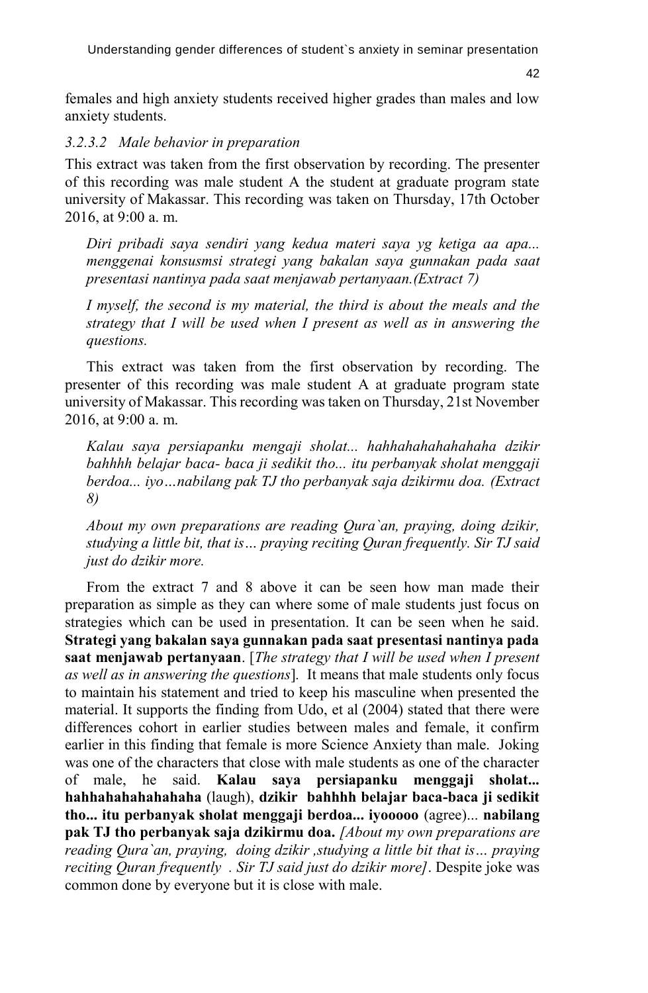females and high anxiety students received higher grades than males and low anxiety students.

## *3.2.3.2 Male behavior in preparation*

This extract was taken from the first observation by recording. The presenter of this recording was male student A the student at graduate program state university of Makassar. This recording was taken on Thursday, 17th October 2016, at 9:00 a. m.

*Diri pribadi saya sendiri yang kedua materi saya yg ketiga aa apa... menggenai konsusmsi strategi yang bakalan saya gunnakan pada saat presentasi nantinya pada saat menjawab pertanyaan.(Extract 7)*

*I myself, the second is my material, the third is about the meals and the strategy that I will be used when I present as well as in answering the questions.* 

This extract was taken from the first observation by recording. The presenter of this recording was male student A at graduate program state university of Makassar. This recording was taken on Thursday, 21st November 2016, at 9:00 a. m.

*Kalau saya persiapanku mengaji sholat... hahhahahahahahaha dzikir bahhhh belajar baca- baca ji sedikit tho... itu perbanyak sholat menggaji berdoa... iyo…nabilang pak TJ tho perbanyak saja dzikirmu doa. (Extract 8)*

*About my own preparations are reading Qura`an, praying, doing dzikir, studying a little bit, that is… praying reciting Quran frequently. Sir TJ said just do dzikir more.*

From the extract 7 and 8 above it can be seen how man made their preparation as simple as they can where some of male students just focus on strategies which can be used in presentation. It can be seen when he said. **Strategi yang bakalan saya gunnakan pada saat presentasi nantinya pada saat menjawab pertanyaan**. [*The strategy that I will be used when I present as well as in answering the questions*]*.* It means that male students only focus to maintain his statement and tried to keep his masculine when presented the material. It supports the finding from Udo, et al (2004) stated that there were differences cohort in earlier studies between males and female, it confirm earlier in this finding that female is more Science Anxiety than male. Joking was one of the characters that close with male students as one of the character of male, he said. **Kalau saya persiapanku menggaji sholat... hahhahahahahahaha** (laugh), **dzikir bahhhh belajar baca-baca ji sedikit tho... itu perbanyak sholat menggaji berdoa... iyooooo** (agree)... **nabilang pak TJ tho perbanyak saja dzikirmu doa.** *[About my own preparations are reading Qura`an, praying, doing dzikir ,studying a little bit that is… praying reciting Quran frequently . Sir TJ said just do dzikir more]*. Despite joke was common done by everyone but it is close with male.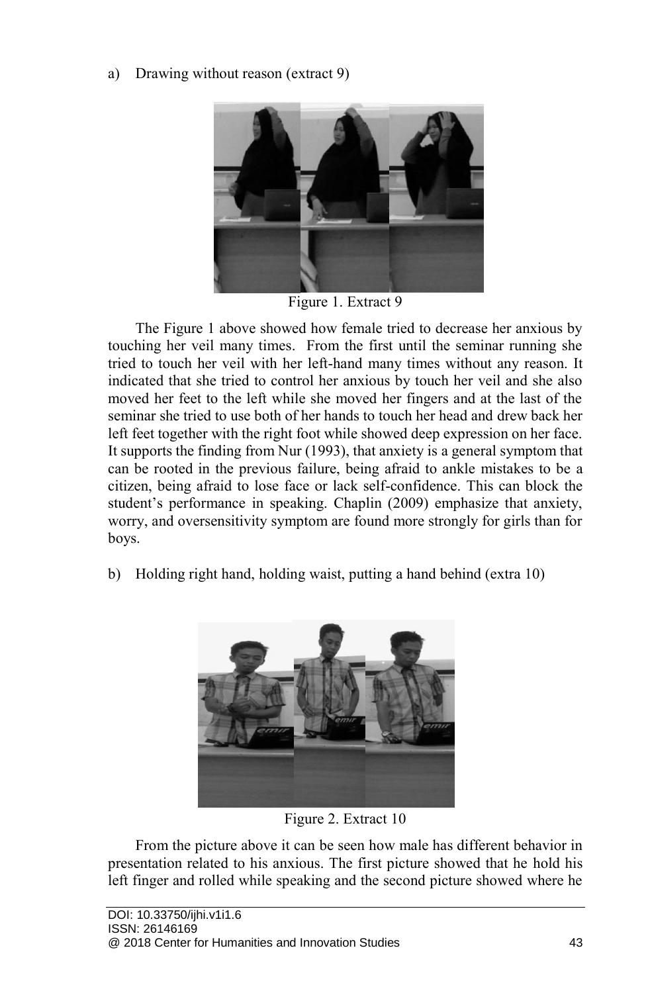a) Drawing without reason (extract 9)



Figure 1. Extract 9

The Figure 1 above showed how female tried to decrease her anxious by touching her veil many times. From the first until the seminar running she tried to touch her veil with her left-hand many times without any reason. It indicated that she tried to control her anxious by touch her veil and she also moved her feet to the left while she moved her fingers and at the last of the seminar she tried to use both of her hands to touch her head and drew back her left feet together with the right foot while showed deep expression on her face. It supports the finding from Nur (1993), that anxiety is a general symptom that can be rooted in the previous failure, being afraid to ankle mistakes to be a citizen, being afraid to lose face or lack self-confidence. This can block the student's performance in speaking. Chaplin (2009) emphasize that anxiety, worry, and oversensitivity symptom are found more strongly for girls than for boys.

b) Holding right hand, holding waist, putting a hand behind (extra 10)



Figure 2. Extract 10

From the picture above it can be seen how male has different behavior in presentation related to his anxious. The first picture showed that he hold his left finger and rolled while speaking and the second picture showed where he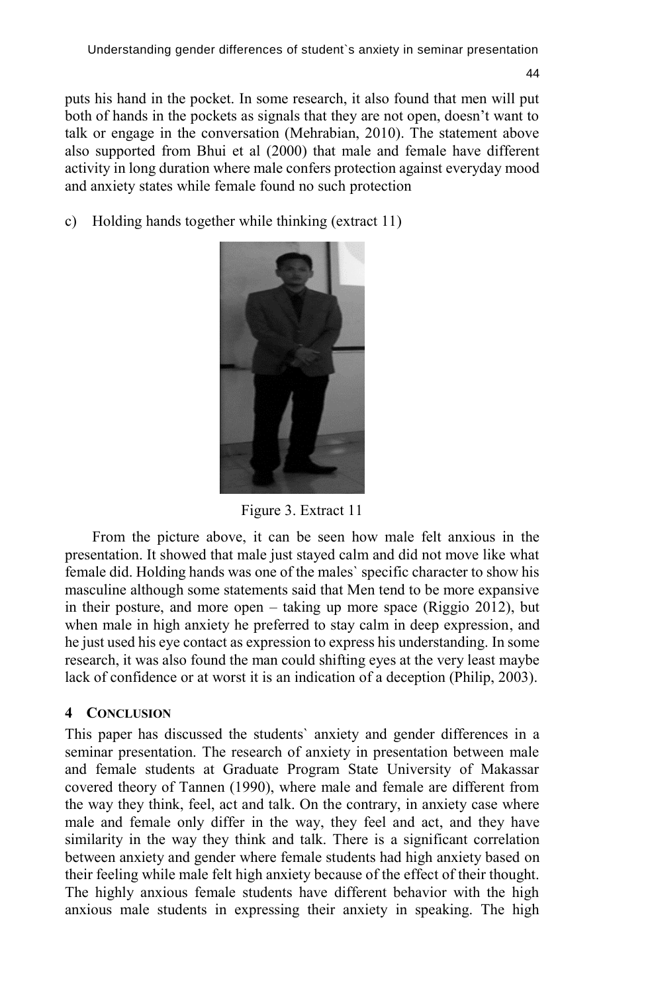puts his hand in the pocket. In some research, it also found that men will put both of hands in the pockets as signals that they are not open, doesn't want to talk or engage in the conversation (Mehrabian, 2010). The statement above also supported from Bhui et al (2000) that male and female have different activity in long duration where male confers protection against everyday mood and anxiety states while female found no such protection

c) Holding hands together while thinking (extract 11)



Figure 3. Extract 11

From the picture above, it can be seen how male felt anxious in the presentation. It showed that male just stayed calm and did not move like what female did. Holding hands was one of the males` specific character to show his masculine although some statements said that Men tend to be more expansive in their posture, and more open – taking up more space (Riggio 2012), but when male in high anxiety he preferred to stay calm in deep expression, and he just used his eye contact as expression to express his understanding. In some research, it was also found the man could shifting eyes at the very least maybe lack of confidence or at worst it is an indication of a deception (Philip, 2003).

## **4 CONCLUSION**

This paper has discussed the students` anxiety and gender differences in a seminar presentation. The research of anxiety in presentation between male and female students at Graduate Program State University of Makassar covered theory of Tannen (1990), where male and female are different from the way they think, feel, act and talk. On the contrary, in anxiety case where male and female only differ in the way, they feel and act, and they have similarity in the way they think and talk. There is a significant correlation between anxiety and gender where female students had high anxiety based on their feeling while male felt high anxiety because of the effect of their thought. The highly anxious female students have different behavior with the high anxious male students in expressing their anxiety in speaking. The high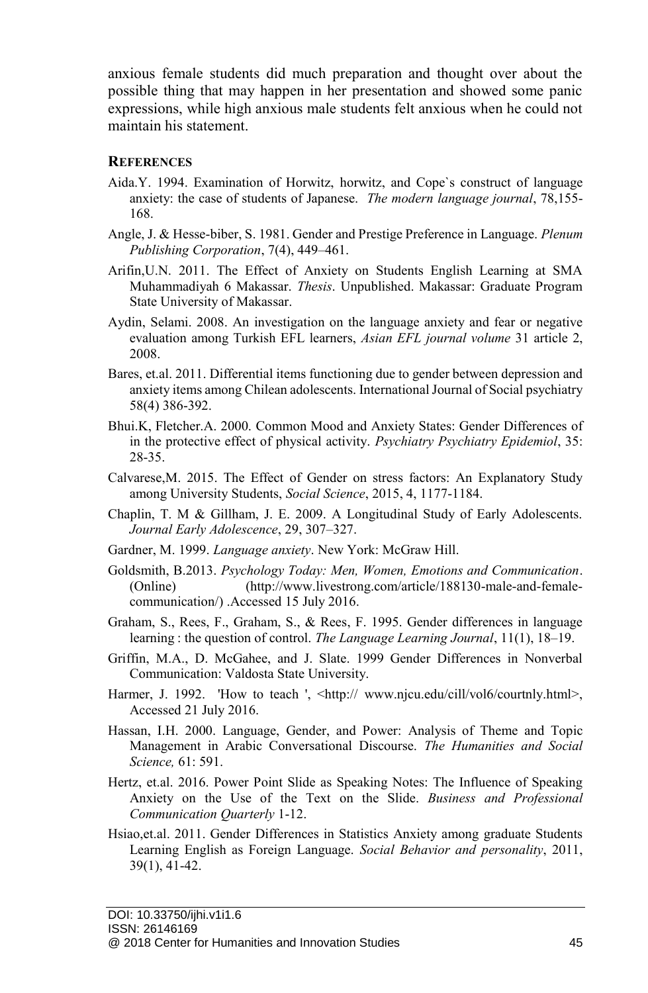anxious female students did much preparation and thought over about the possible thing that may happen in her presentation and showed some panic expressions, while high anxious male students felt anxious when he could not maintain his statement.

### **REFERENCES**

- Aida.Y. 1994. Examination of Horwitz, horwitz, and Cope`s construct of language anxiety: the case of students of Japanese. *The modern language journal*, 78,155- 168.
- Angle, J. & Hesse-biber, S. 1981. Gender and Prestige Preference in Language. *Plenum Publishing Corporation*, 7(4), 449–461.
- Arifin,U.N. 2011. The Effect of Anxiety on Students English Learning at SMA Muhammadiyah 6 Makassar. *Thesis*. Unpublished. Makassar: Graduate Program State University of Makassar.
- Aydin, Selami. 2008. An investigation on the language anxiety and fear or negative evaluation among Turkish EFL learners, *Asian EFL journal volume* 31 article 2, 2008.
- Bares, et.al. 2011. Differential items functioning due to gender between depression and anxiety items among Chilean adolescents. International Journal of Social psychiatry 58(4) 386-392.
- Bhui.K, Fletcher.A. 2000. Common Mood and Anxiety States: Gender Differences of in the protective effect of physical activity. *Psychiatry Psychiatry Epidemiol*, 35: 28-35.
- Calvarese,M. 2015. The Effect of Gender on stress factors: An Explanatory Study among University Students, *Social Science*, 2015, 4, 1177-1184.
- Chaplin, T. M & Gillham, J. E. 2009. A Longitudinal Study of Early Adolescents. *Journal Early Adolescence*, 29, 307–327.
- Gardner, M. 1999. *Language anxiety*. New York: McGraw Hill.
- Goldsmith, B.2013. *Psychology Today: Men, Women, Emotions and Communication*. (Online) (http://www.livestrong.com/article/188130-male-and-femalecommunication/) .Accessed 15 July 2016.
- Graham, S., Rees, F., Graham, S., & Rees, F. 1995. Gender differences in language learning : the question of control. *The Language Learning Journal*, 11(1), 18–19.
- Griffin, M.A., D. McGahee, and J. Slate. 1999 Gender Differences in Nonverbal Communication: Valdosta State University.
- Harmer, J. 1992. 'How to teach ', <http:// www.njcu.edu/cill/vol6/courtnly.html>, Accessed 21 July 2016.
- Hassan, I.H. 2000. Language, Gender, and Power: Analysis of Theme and Topic Management in Arabic Conversational Discourse. *The Humanities and Social Science,* 61: 591.
- Hertz, et.al. 2016. Power Point Slide as Speaking Notes: The Influence of Speaking Anxiety on the Use of the Text on the Slide. *Business and Professional Communication Quarterly* 1-12.
- Hsiao,et.al. 2011. Gender Differences in Statistics Anxiety among graduate Students Learning English as Foreign Language. *Social Behavior and personality*, 2011, 39(1), 41-42.